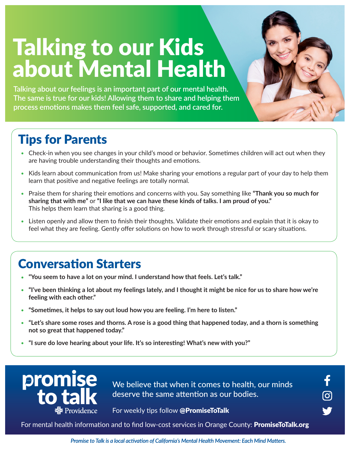# Talking to our Kids about Mental Health

**Talking about our feelings is an important part of our mental health. The same is true for our kids! Allowing them to share and helping them process emotions makes them feel safe, supported, and cared for.** 

## Tips for Parents

- Check-in when you see changes in your child's mood or behavior. Sometimes children will act out when they are having trouble understanding their thoughts and emotions.
- Kids learn about communication from us! Make sharing your emotions a regular part of your day to help them learn that positive and negative feelings are totally normal.
- Praise them for sharing their emotions and concerns with you. Say something like **"Thank you so much for sharing that with me"** or **"I like that we can have these kinds of talks. I am proud of you."**  This helps them learn that sharing is a good thing.
- Listen openly and allow them to finish their thoughts. Validate their emotions and explain that it is okay to feel what they are feeling. Gently offer solutions on how to work through stressful or scary situations.

#### Conversation Starters

- "You seem to have a lot on your mind. I understand how that feels. Let's talk."
- **"I've been thinking a lot about my feelings lately, and I thought it might be nice for us to share how we're feeling with each other."**
- **"Sometimes, it helps to say out loud how you are feeling. I'm here to listen."**
- **"Let's share some roses and thorns. A rose is a good thing that happened today, and a thorn is something not so great that happened today."**
- **"I sure do love hearing about your life. It's so interesting! What's new with you?"**



We believe that when it comes to health, our minds deserve the same attention as our bodies.

<u>ි</u>

For weekly tips follow @PromiseToTalk

For mental health information and to find low-cost services in Orange County: **PromiseToTalk.org** 

Promise to Talk is a local activation of California's Mental Health Movement: Each Mind Matters.